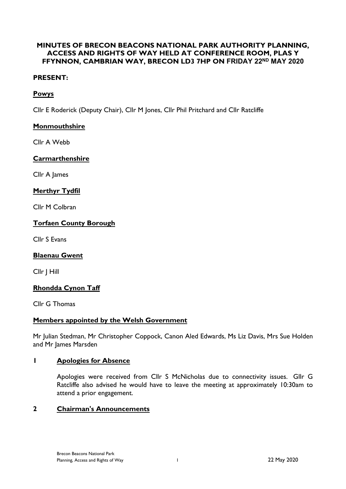# **MINUTES OF BRECON BEACONS NATIONAL PARK AUTHORITY PLANNING, ACCESS AND RIGHTS OF WAY HELD AT CONFERENCE ROOM, PLAS Y FFYNNON, CAMBRIAN WAY, BRECON LD3 7HP ON FRIDAY 22ND MAY 2020**

# **PRESENT:**

# **Powys**

Cllr E Roderick (Deputy Chair), Cllr M Jones, Cllr Phil Pritchard and Cllr Ratcliffe

# **Monmouthshire**

Cllr A Webb

### **Carmarthenshire**

Cllr A James

### **Merthyr Tydfil**

Cllr M Colbran

### **Torfaen County Borough**

Cllr S Evans

### **Blaenau Gwent**

Cllr J Hill

### **Rhondda Cynon Taff**

Cllr G Thomas

### **Members appointed by the Welsh Government**

Mr Julian Stedman, Mr Christopher Coppock, Canon Aled Edwards, Ms Liz Davis, Mrs Sue Holden and Mr James Marsden

### **1 Apologies for Absence**

Apologies were received from Cllr S McNicholas due to connectivity issues. Gllr G Ratcliffe also advised he would have to leave the meeting at approximately 10:30am to attend a prior engagement.

### **2 Chairman's Announcements**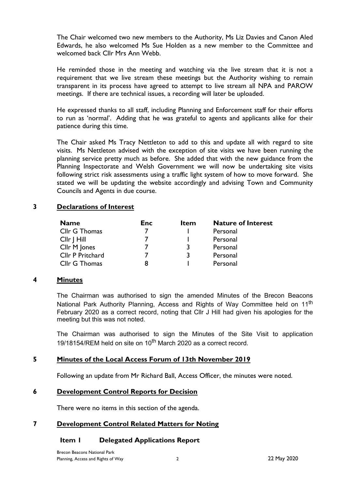The Chair welcomed two new members to the Authority, Ms Liz Davies and Canon Aled Edwards, he also welcomed Ms Sue Holden as a new member to the Committee and welcomed back Cllr Mrs Ann Webb.

He reminded those in the meeting and watching via the live stream that it is not a requirement that we live stream these meetings but the Authority wishing to remain transparent in its process have agreed to attempt to live stream all NPA and PAROW meetings. If there are technical issues, a recording will later be uploaded.

He expressed thanks to all staff, including Planning and Enforcement staff for their efforts to run as 'normal'. Adding that he was grateful to agents and applicants alike for their patience during this time.

The Chair asked Ms Tracy Nettleton to add to this and update all with regard to site visits. Ms Nettleton advised with the exception of site visits we have been running the planning service pretty much as before. She added that with the new guidance from the Planning Inspectorate and Welsh Government we will now be undertaking site visits following strict risk assessments using a traffic light system of how to move forward. She stated we will be updating the website accordingly and advising Town and Community Councils and Agents in due course.

# **3 Declarations of Interest**

| <b>Name</b>      | <b>Enc</b> | <b>Item</b> | <b>Nature of Interest</b> |
|------------------|------------|-------------|---------------------------|
| Cllr G Thomas    |            |             | Personal                  |
| Cllr   Hill      |            |             | Personal                  |
| Cllr M Jones     |            |             | Personal                  |
| Cllr P Pritchard |            | ર           | Personal                  |
| Cllr G Thomas    | 8          |             | Personal                  |

### **4 Minutes**

The Chairman was authorised to sign the amended Minutes of the Brecon Beacons National Park Authority Planning, Access and Rights of Way Committee held on 11<sup>th</sup> February 2020 as a correct record, noting that Cllr J Hill had given his apologies for the meeting but this was not noted.

The Chairman was authorised to sign the Minutes of the Site Visit to application 19/18154/REM held on site on  $10^{th}$  March 2020 as a correct record.

### **5 Minutes of the Local Access Forum of 13th November 2019**

Following an update from Mr Richard Ball, Access Officer, the minutes were noted.

### **6 Development Control Reports for Decision**

There were no items in this section of the agenda.

### **7 Development Control Related Matters for Noting**

### **Item 1 Delegated Applications Report**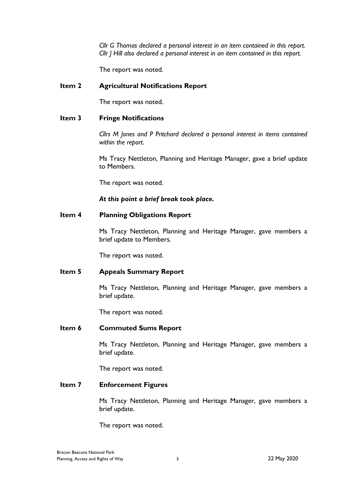*Cllr G Thomas declared a personal interest in an item contained in this report. Cllr J Hill also declared a personal interest in an item contained in this report.*

The report was noted.

#### **Item 2 Agricultural Notifications Report**

The report was noted.

#### **Item 3 Fringe Notifications**

*Cllrs M Jones and P Pritchard declared a personal interest in items contained within the report.*

Ms Tracy Nettleton, Planning and Heritage Manager, gave a brief update to Members.

The report was noted.

#### *At this point a brief break took place.*

#### **Item 4 Planning Obligations Report**

Ms Tracy Nettleton, Planning and Heritage Manager, gave members a brief update to Members.

The report was noted.

#### **Item 5 Appeals Summary Report**

Ms Tracy Nettleton, Planning and Heritage Manager, gave members a brief update.

The report was noted.

#### **Item 6 Commuted Sums Report**

Ms Tracy Nettleton, Planning and Heritage Manager, gave members a brief update.

The report was noted.

#### **Item 7 Enforcement Figures**

Ms Tracy Nettleton, Planning and Heritage Manager, gave members a brief update.

The report was noted.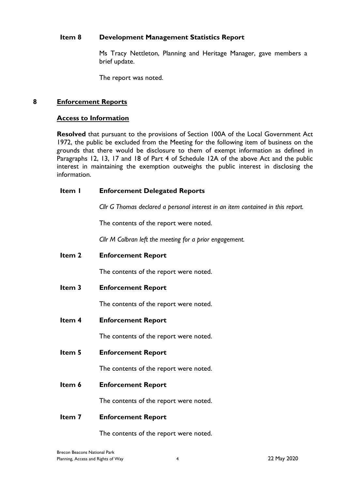### **Item 8 Development Management Statistics Report**

Ms Tracy Nettleton, Planning and Heritage Manager, gave members a brief update.

The report was noted.

### **8 Enforcement Reports**

#### **Access to Information**

**Resolved** that pursuant to the provisions of Section 100A of the Local Government Act 1972, the public be excluded from the Meeting for the following item of business on the grounds that there would be disclosure to them of exempt information as defined in Paragraphs 12, 13, 17 and 18 of Part 4 of Schedule 12A of the above Act and the public interest in maintaining the exemption outweighs the public interest in disclosing the information.

| Item I | <b>Enforcement Delegated Reports</b> |
|--------|--------------------------------------|
|        |                                      |

*Cllr G Thomas declared a personal interest in an item contained in this report.*

The contents of the report were noted.

*Cllr M Colbran left the meeting for a prior engagement.*

**Item 2 Enforcement Report**

The contents of the report were noted.

**Item 3 Enforcement Report**

The contents of the report were noted.

**Item 4 Enforcement Report**

The contents of the report were noted.

**Item 5 Enforcement Report**

The contents of the report were noted.

**Item 6 Enforcement Report**

The contents of the report were noted.

#### **Item 7 Enforcement Report**

The contents of the report were noted.